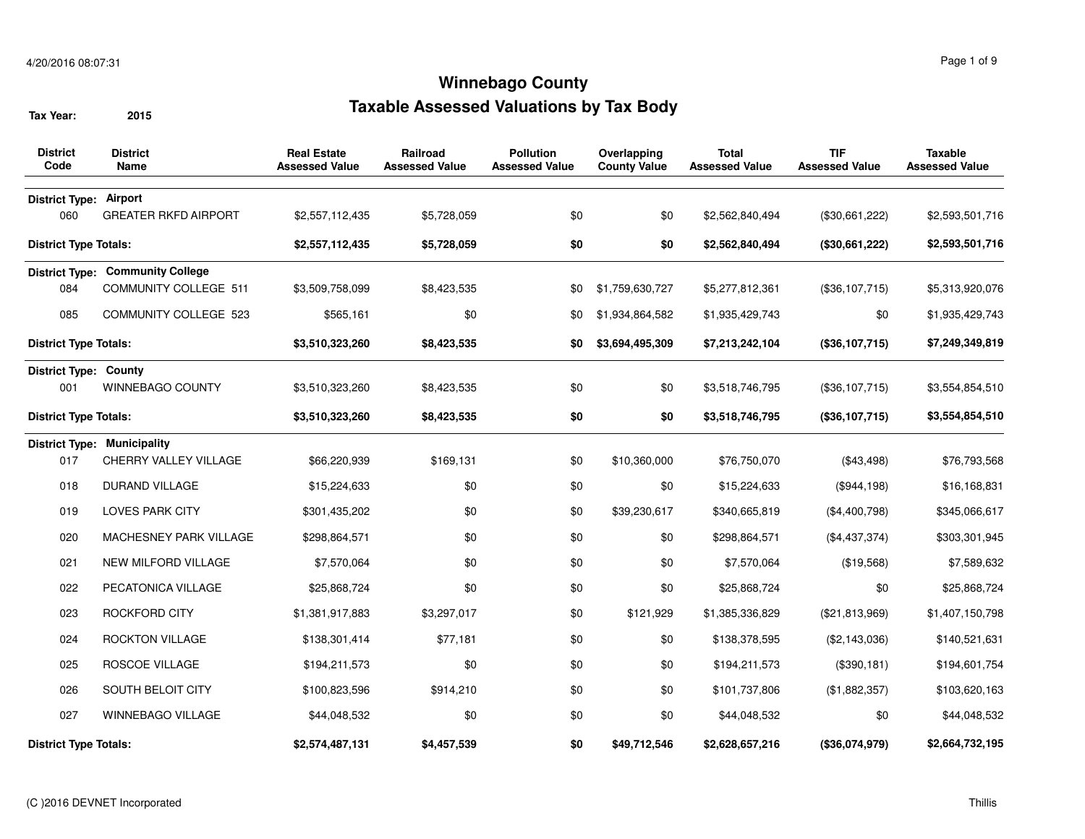| <b>District</b><br>Code       | <b>District</b><br>Name                 | <b>Real Estate</b><br><b>Assessed Value</b> | Railroad<br><b>Assessed Value</b> | <b>Pollution</b><br><b>Assessed Value</b> | Overlapping<br><b>County Value</b> | <b>Total</b><br><b>Assessed Value</b> | <b>TIF</b><br><b>Assessed Value</b> | <b>Taxable</b><br><b>Assessed Value</b> |
|-------------------------------|-----------------------------------------|---------------------------------------------|-----------------------------------|-------------------------------------------|------------------------------------|---------------------------------------|-------------------------------------|-----------------------------------------|
| <b>District Type: Airport</b> |                                         |                                             |                                   |                                           |                                    |                                       |                                     |                                         |
| 060                           | <b>GREATER RKFD AIRPORT</b>             | \$2,557,112,435                             | \$5,728,059                       | \$0                                       | \$0                                | \$2,562,840,494                       | (\$30,661,222)                      | \$2,593,501,716                         |
| <b>District Type Totals:</b>  |                                         | \$2,557,112,435                             | \$5,728,059                       | \$0                                       | \$0                                | \$2,562,840,494                       | (\$30,661,222)                      | \$2,593,501,716                         |
|                               | <b>District Type: Community College</b> |                                             |                                   |                                           |                                    |                                       |                                     |                                         |
| 084                           | <b>COMMUNITY COLLEGE 511</b>            | \$3,509,758,099                             | \$8,423,535                       | \$0                                       | \$1,759,630,727                    | \$5,277,812,361                       | (\$36,107,715)                      | \$5,313,920,076                         |
| 085                           | <b>COMMUNITY COLLEGE 523</b>            | \$565,161                                   | \$0                               | \$0                                       | \$1,934,864,582                    | \$1,935,429,743                       | \$0                                 | \$1,935,429,743                         |
| <b>District Type Totals:</b>  |                                         | \$3,510,323,260                             | \$8,423,535                       | \$0                                       | \$3,694,495,309                    | \$7,213,242,104                       | (\$36,107,715)                      | \$7,249,349,819                         |
| <b>District Type: County</b>  |                                         |                                             |                                   |                                           |                                    |                                       |                                     |                                         |
| 001                           | WINNEBAGO COUNTY                        | \$3,510,323,260                             | \$8,423,535                       | \$0                                       | \$0                                | \$3,518,746,795                       | (\$36,107,715)                      | \$3,554,854,510                         |
| <b>District Type Totals:</b>  |                                         | \$3,510,323,260                             | \$8,423,535                       | \$0                                       | \$0                                | \$3,518,746,795                       | (\$36,107,715)                      | \$3,554,854,510                         |
|                               | <b>District Type: Municipality</b>      |                                             |                                   |                                           |                                    |                                       |                                     |                                         |
| 017                           | CHERRY VALLEY VILLAGE                   | \$66,220,939                                | \$169,131                         | \$0                                       | \$10,360,000                       | \$76,750,070                          | (\$43,498)                          | \$76,793,568                            |
| 018                           | <b>DURAND VILLAGE</b>                   | \$15,224,633                                | \$0                               | \$0                                       | \$0                                | \$15,224,633                          | (\$944,198)                         | \$16,168,831                            |
| 019                           | <b>LOVES PARK CITY</b>                  | \$301,435,202                               | \$0                               | \$0                                       | \$39,230,617                       | \$340,665,819                         | (\$4,400,798)                       | \$345,066,617                           |
| 020                           | MACHESNEY PARK VILLAGE                  | \$298,864,571                               | \$0                               | \$0                                       | \$0                                | \$298,864,571                         | (\$4,437,374)                       | \$303,301,945                           |
| 021                           | <b>NEW MILFORD VILLAGE</b>              | \$7,570,064                                 | \$0                               | \$0                                       | \$0                                | \$7,570,064                           | (\$19,568)                          | \$7,589,632                             |
| 022                           | PECATONICA VILLAGE                      | \$25,868,724                                | \$0                               | \$0                                       | \$0                                | \$25,868,724                          | \$0                                 | \$25,868,724                            |
| 023                           | ROCKFORD CITY                           | \$1,381,917,883                             | \$3,297,017                       | \$0                                       | \$121,929                          | \$1,385,336,829                       | (\$21,813,969)                      | \$1,407,150,798                         |
| 024                           | <b>ROCKTON VILLAGE</b>                  | \$138,301,414                               | \$77,181                          | \$0                                       | \$0                                | \$138,378,595                         | (\$2,143,036)                       | \$140,521,631                           |
| 025                           | ROSCOE VILLAGE                          | \$194,211,573                               | \$0                               | \$0                                       | \$0                                | \$194,211,573                         | (\$390, 181)                        | \$194,601,754                           |
| 026                           | SOUTH BELOIT CITY                       | \$100,823,596                               | \$914,210                         | \$0                                       | \$0                                | \$101,737,806                         | (\$1,882,357)                       | \$103,620,163                           |
| 027                           | <b>WINNEBAGO VILLAGE</b>                | \$44,048,532                                | \$0                               | \$0                                       | \$0                                | \$44,048,532                          | \$0                                 | \$44,048,532                            |
| <b>District Type Totals:</b>  |                                         | \$2,574,487,131                             | \$4,457,539                       | \$0                                       | \$49,712,546                       | \$2,628,657,216                       | (\$36,074,979)                      | \$2,664,732,195                         |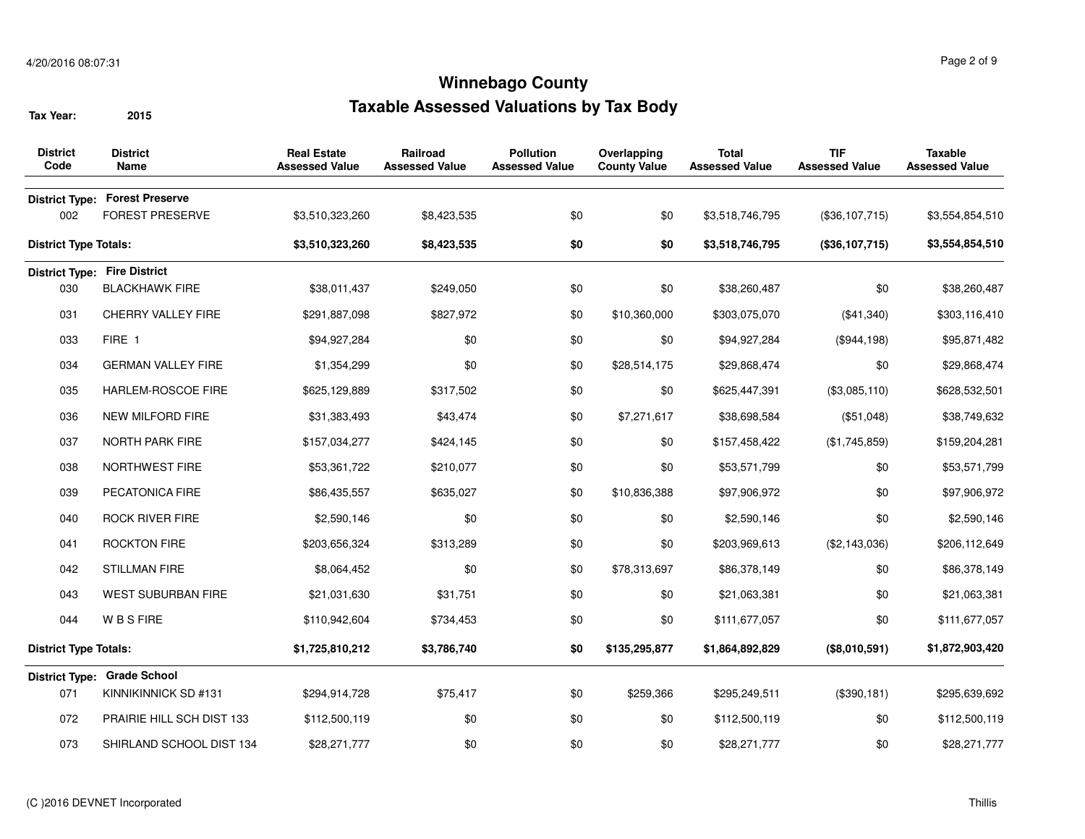| <b>District</b><br>Code      | <b>District</b><br><b>Name</b>        | <b>Real Estate</b><br><b>Assessed Value</b> | Railroad<br><b>Assessed Value</b> | <b>Pollution</b><br><b>Assessed Value</b> | Overlapping<br><b>County Value</b> | <b>Total</b><br><b>Assessed Value</b> | <b>TIF</b><br><b>Assessed Value</b> | <b>Taxable</b><br><b>Assessed Value</b> |
|------------------------------|---------------------------------------|---------------------------------------------|-----------------------------------|-------------------------------------------|------------------------------------|---------------------------------------|-------------------------------------|-----------------------------------------|
|                              | <b>District Type: Forest Preserve</b> |                                             |                                   |                                           |                                    |                                       |                                     |                                         |
| 002                          | <b>FOREST PRESERVE</b>                | \$3,510,323,260                             | \$8,423,535                       | \$0                                       | \$0                                | \$3,518,746,795                       | (\$36,107,715)                      | \$3,554,854,510                         |
| <b>District Type Totals:</b> |                                       | \$3,510,323,260                             | \$8,423,535                       | \$0                                       | \$0                                | \$3,518,746,795                       | (\$36,107,715)                      | \$3,554,854,510                         |
|                              | <b>District Type: Fire District</b>   |                                             |                                   |                                           |                                    |                                       |                                     |                                         |
| 030                          | <b>BLACKHAWK FIRE</b>                 | \$38,011,437                                | \$249,050                         | \$0                                       | \$0                                | \$38,260,487                          | \$0                                 | \$38,260,487                            |
| 031                          | CHERRY VALLEY FIRE                    | \$291,887,098                               | \$827,972                         | \$0                                       | \$10,360,000                       | \$303,075,070                         | (\$41,340)                          | \$303,116,410                           |
| 033                          | FIRE 1                                | \$94,927,284                                | \$0                               | \$0                                       | \$0                                | \$94,927,284                          | (\$944,198)                         | \$95,871,482                            |
| 034                          | <b>GERMAN VALLEY FIRE</b>             | \$1,354,299                                 | \$0                               | \$0                                       | \$28,514,175                       | \$29,868,474                          | \$0                                 | \$29,868,474                            |
| 035                          | <b>HARLEM-ROSCOE FIRE</b>             | \$625,129,889                               | \$317,502                         | \$0                                       | \$0                                | \$625,447,391                         | (\$3,085,110)                       | \$628,532,501                           |
| 036                          | <b>NEW MILFORD FIRE</b>               | \$31,383,493                                | \$43,474                          | \$0                                       | \$7,271,617                        | \$38,698,584                          | (\$51,048)                          | \$38,749,632                            |
| 037                          | <b>NORTH PARK FIRE</b>                | \$157,034,277                               | \$424,145                         | \$0                                       | \$0                                | \$157,458,422                         | (\$1,745,859)                       | \$159,204,281                           |
| 038                          | <b>NORTHWEST FIRE</b>                 | \$53,361,722                                | \$210,077                         | \$0                                       | \$0                                | \$53,571,799                          | \$0                                 | \$53,571,799                            |
| 039                          | PECATONICA FIRE                       | \$86,435,557                                | \$635,027                         | \$0                                       | \$10,836,388                       | \$97,906,972                          | \$0                                 | \$97,906,972                            |
| 040                          | <b>ROCK RIVER FIRE</b>                | \$2,590,146                                 | \$0                               | \$0                                       | \$0                                | \$2,590,146                           | \$0                                 | \$2,590,146                             |
| 041                          | <b>ROCKTON FIRE</b>                   | \$203,656,324                               | \$313,289                         | \$0                                       | \$0                                | \$203,969,613                         | (\$2,143,036)                       | \$206,112,649                           |
| 042                          | <b>STILLMAN FIRE</b>                  | \$8,064,452                                 | \$0                               | \$0                                       | \$78,313,697                       | \$86,378,149                          | \$0                                 | \$86,378,149                            |
| 043                          | <b>WEST SUBURBAN FIRE</b>             | \$21,031,630                                | \$31,751                          | \$0                                       | \$0                                | \$21,063,381                          | \$0                                 | \$21,063,381                            |
| 044                          | <b>WBSFIRE</b>                        | \$110,942,604                               | \$734,453                         | \$0                                       | \$0                                | \$111,677,057                         | \$0                                 | \$111,677,057                           |
| <b>District Type Totals:</b> |                                       | \$1,725,810,212                             | \$3,786,740                       | \$0                                       | \$135,295,877                      | \$1,864,892,829                       | (\$8,010,591)                       | \$1,872,903,420                         |
|                              | District Type: Grade School           |                                             |                                   |                                           |                                    |                                       |                                     |                                         |
| 071                          | KINNIKINNICK SD #131                  | \$294,914,728                               | \$75,417                          | \$0                                       | \$259,366                          | \$295,249,511                         | (\$390,181)                         | \$295,639,692                           |
| 072                          | PRAIRIE HILL SCH DIST 133             | \$112,500,119                               | \$0                               | \$0                                       | \$0                                | \$112,500,119                         | \$0                                 | \$112,500,119                           |
| 073                          | SHIRLAND SCHOOL DIST 134              | \$28,271,777                                | \$0                               | \$0                                       | \$0                                | \$28,271,777                          | \$0                                 | \$28,271,777                            |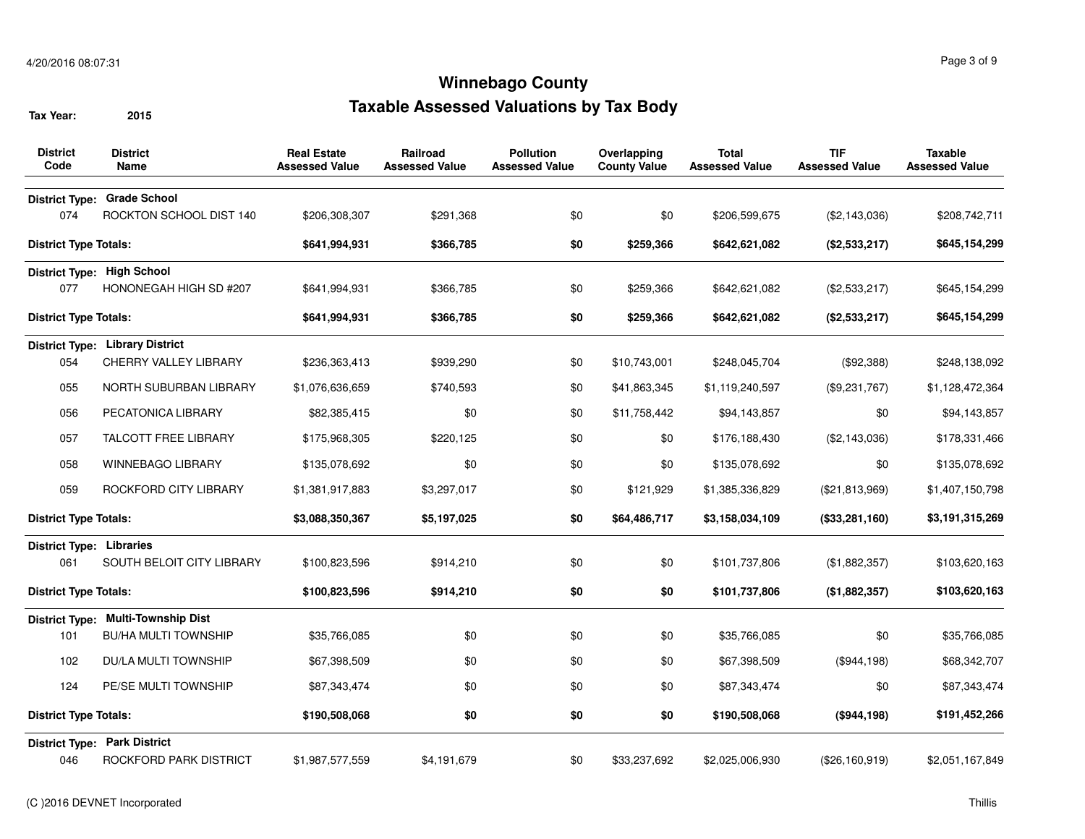| <b>District</b><br>Code      | <b>District</b><br><b>Name</b>            | <b>Real Estate</b><br><b>Assessed Value</b> | Railroad<br><b>Assessed Value</b> | <b>Pollution</b><br><b>Assessed Value</b> | Overlapping<br><b>County Value</b> | <b>Total</b><br><b>Assessed Value</b> | <b>TIF</b><br><b>Assessed Value</b> | Taxable<br><b>Assessed Value</b> |
|------------------------------|-------------------------------------------|---------------------------------------------|-----------------------------------|-------------------------------------------|------------------------------------|---------------------------------------|-------------------------------------|----------------------------------|
|                              | District Type: Grade School               |                                             |                                   |                                           |                                    |                                       |                                     |                                  |
| 074                          | ROCKTON SCHOOL DIST 140                   | \$206,308,307                               | \$291,368                         | \$0                                       | \$0                                | \$206,599,675                         | (\$2,143,036)                       | \$208,742,711                    |
| <b>District Type Totals:</b> |                                           | \$641,994,931                               | \$366,785                         | \$0                                       | \$259,366                          | \$642,621,082                         | (\$2,533,217)                       | \$645,154,299                    |
|                              | District Type: High School                |                                             |                                   |                                           |                                    |                                       |                                     |                                  |
| 077                          | HONONEGAH HIGH SD #207                    | \$641,994,931                               | \$366,785                         | \$0                                       | \$259,366                          | \$642,621,082                         | (\$2,533,217)                       | \$645,154,299                    |
| <b>District Type Totals:</b> |                                           | \$641,994,931                               | \$366,785                         | \$0                                       | \$259,366                          | \$642,621,082                         | (\$2,533,217)                       | \$645,154,299                    |
|                              | <b>District Type: Library District</b>    |                                             |                                   |                                           |                                    |                                       |                                     |                                  |
| 054                          | CHERRY VALLEY LIBRARY                     | \$236,363,413                               | \$939,290                         | \$0                                       | \$10,743,001                       | \$248,045,704                         | (\$92,388)                          | \$248,138,092                    |
| 055                          | NORTH SUBURBAN LIBRARY                    | \$1,076,636,659                             | \$740,593                         | \$0                                       | \$41,863,345                       | \$1,119,240,597                       | (\$9,231,767)                       | \$1,128,472,364                  |
| 056                          | PECATONICA LIBRARY                        | \$82,385,415                                | \$0                               | \$0                                       | \$11,758,442                       | \$94,143,857                          | \$0                                 | \$94,143,857                     |
| 057                          | TALCOTT FREE LIBRARY                      | \$175,968,305                               | \$220,125                         | \$0                                       | \$0                                | \$176,188,430                         | (\$2,143,036)                       | \$178,331,466                    |
| 058                          | <b>WINNEBAGO LIBRARY</b>                  | \$135,078,692                               | \$0                               | \$0                                       | \$0                                | \$135,078,692                         | \$0                                 | \$135,078,692                    |
| 059                          | ROCKFORD CITY LIBRARY                     | \$1,381,917,883                             | \$3,297,017                       | \$0                                       | \$121,929                          | \$1,385,336,829                       | (\$21,813,969)                      | \$1,407,150,798                  |
| <b>District Type Totals:</b> |                                           | \$3,088,350,367                             | \$5,197,025                       | \$0                                       | \$64,486,717                       | \$3,158,034,109                       | (\$33,281,160)                      | \$3,191,315,269                  |
| District Type: Libraries     |                                           |                                             |                                   |                                           |                                    |                                       |                                     |                                  |
| 061                          | SOUTH BELOIT CITY LIBRARY                 | \$100,823,596                               | \$914,210                         | \$0                                       | \$0                                | \$101,737,806                         | (\$1,882,357)                       | \$103,620,163                    |
| <b>District Type Totals:</b> |                                           | \$100,823,596                               | \$914,210                         | \$0                                       | \$0                                | \$101,737,806                         | (\$1,882,357)                       | \$103,620,163                    |
|                              | <b>District Type: Multi-Township Dist</b> |                                             |                                   |                                           |                                    |                                       |                                     |                                  |
| 101                          | <b>BU/HA MULTI TOWNSHIP</b>               | \$35,766,085                                | \$0                               | \$0                                       | \$0                                | \$35,766,085                          | \$0                                 | \$35,766,085                     |
| 102                          | <b>DU/LA MULTI TOWNSHIP</b>               | \$67,398,509                                | \$0                               | \$0                                       | \$0                                | \$67,398,509                          | (\$944,198)                         | \$68,342,707                     |
| 124                          | PE/SE MULTI TOWNSHIP                      | \$87,343,474                                | \$0                               | \$0                                       | \$0                                | \$87,343,474                          | \$0                                 | \$87,343,474                     |
| <b>District Type Totals:</b> |                                           | \$190,508,068                               | \$0                               | \$0                                       | \$0                                | \$190,508,068                         | (\$944,198)                         | \$191,452,266                    |
|                              | <b>District Type: Park District</b>       |                                             |                                   |                                           |                                    |                                       |                                     |                                  |
| 046                          | ROCKFORD PARK DISTRICT                    | \$1,987,577,559                             | \$4,191,679                       | \$0                                       | \$33,237,692                       | \$2,025,006,930                       | (\$26,160,919)                      | \$2,051,167,849                  |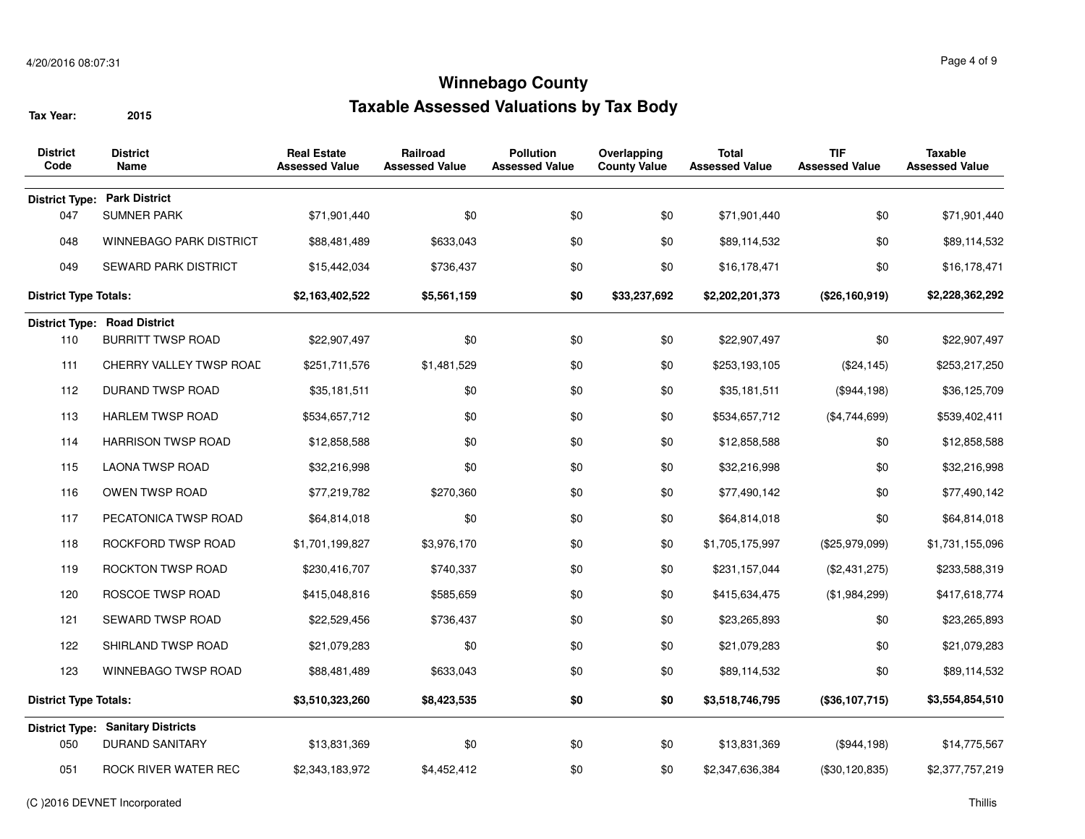| <b>District</b><br>Code      | <b>District</b><br>Name                  | <b>Real Estate</b><br><b>Assessed Value</b> | Railroad<br><b>Assessed Value</b> | <b>Pollution</b><br><b>Assessed Value</b> | Overlapping<br><b>County Value</b> | <b>Total</b><br><b>Assessed Value</b> | <b>TIF</b><br><b>Assessed Value</b> | Taxable<br><b>Assessed Value</b> |
|------------------------------|------------------------------------------|---------------------------------------------|-----------------------------------|-------------------------------------------|------------------------------------|---------------------------------------|-------------------------------------|----------------------------------|
|                              | <b>District Type: Park District</b>      |                                             |                                   |                                           |                                    |                                       |                                     |                                  |
| 047                          | <b>SUMNER PARK</b>                       | \$71,901,440                                | \$0                               | \$0                                       | \$0                                | \$71,901,440                          | \$0                                 | \$71,901,440                     |
| 048                          | <b>WINNEBAGO PARK DISTRICT</b>           | \$88,481,489                                | \$633,043                         | \$0                                       | \$0                                | \$89,114,532                          | \$0                                 | \$89,114,532                     |
| 049                          | <b>SEWARD PARK DISTRICT</b>              | \$15,442,034                                | \$736,437                         | \$0                                       | \$0                                | \$16,178,471                          | \$0                                 | \$16,178,471                     |
| <b>District Type Totals:</b> |                                          | \$2,163,402,522                             | \$5,561,159                       | \$0                                       | \$33,237,692                       | \$2,202,201,373                       | (\$26,160,919)                      | \$2,228,362,292                  |
|                              | <b>District Type: Road District</b>      |                                             |                                   |                                           |                                    |                                       |                                     |                                  |
| 110                          | <b>BURRITT TWSP ROAD</b>                 | \$22,907,497                                | \$0                               | \$0                                       | \$0                                | \$22,907,497                          | \$0                                 | \$22,907,497                     |
| 111                          | <b>CHERRY VALLEY TWSP ROAD</b>           | \$251,711,576                               | \$1,481,529                       | \$0                                       | \$0                                | \$253,193,105                         | (\$24, 145)                         | \$253,217,250                    |
| 112                          | DURAND TWSP ROAD                         | \$35,181,511                                | \$0                               | \$0                                       | \$0                                | \$35,181,511                          | (\$944,198)                         | \$36,125,709                     |
| 113                          | <b>HARLEM TWSP ROAD</b>                  | \$534,657,712                               | \$0                               | \$0                                       | \$0                                | \$534,657,712                         | (\$4,744,699)                       | \$539,402,411                    |
| 114                          | <b>HARRISON TWSP ROAD</b>                | \$12,858,588                                | \$0                               | \$0                                       | \$0                                | \$12,858,588                          | \$0                                 | \$12,858,588                     |
| 115                          | <b>LAONA TWSP ROAD</b>                   | \$32,216,998                                | \$0                               | \$0                                       | \$0                                | \$32,216,998                          | \$0                                 | \$32,216,998                     |
| 116                          | OWEN TWSP ROAD                           | \$77,219,782                                | \$270,360                         | \$0                                       | \$0                                | \$77,490,142                          | \$0                                 | \$77,490,142                     |
| 117                          | PECATONICA TWSP ROAD                     | \$64,814,018                                | \$0                               | \$0                                       | \$0                                | \$64,814,018                          | \$0                                 | \$64,814,018                     |
| 118                          | ROCKFORD TWSP ROAD                       | \$1,701,199,827                             | \$3,976,170                       | \$0                                       | \$0                                | \$1,705,175,997                       | (\$25,979,099)                      | \$1,731,155,096                  |
| 119                          | ROCKTON TWSP ROAD                        | \$230,416,707                               | \$740,337                         | \$0                                       | \$0                                | \$231,157,044                         | (\$2,431,275)                       | \$233,588,319                    |
| 120                          | ROSCOE TWSP ROAD                         | \$415,048,816                               | \$585,659                         | \$0                                       | \$0                                | \$415,634,475                         | (\$1,984,299)                       | \$417,618,774                    |
| 121                          | <b>SEWARD TWSP ROAD</b>                  | \$22,529,456                                | \$736,437                         | \$0                                       | \$0                                | \$23,265,893                          | \$0                                 | \$23,265,893                     |
| 122                          | SHIRLAND TWSP ROAD                       | \$21,079,283                                | \$0                               | \$0                                       | \$0                                | \$21,079,283                          | \$0                                 | \$21,079,283                     |
| 123                          | <b>WINNEBAGO TWSP ROAD</b>               | \$88,481,489                                | \$633,043                         | \$0                                       | \$0                                | \$89,114,532                          | \$0                                 | \$89,114,532                     |
| <b>District Type Totals:</b> |                                          | \$3,510,323,260                             | \$8,423,535                       | \$0                                       | \$0                                | \$3,518,746,795                       | (\$36,107,715)                      | \$3,554,854,510                  |
|                              | <b>District Type: Sanitary Districts</b> |                                             |                                   |                                           |                                    |                                       |                                     |                                  |
| 050                          | <b>DURAND SANITARY</b>                   | \$13,831,369                                | \$0                               | \$0                                       | \$0                                | \$13,831,369                          | (\$944,198)                         | \$14,775,567                     |
| 051                          | ROCK RIVER WATER REC                     | \$2,343,183,972                             | \$4,452,412                       | \$0                                       | \$0                                | \$2,347,636,384                       | (\$30,120,835)                      | \$2,377,757,219                  |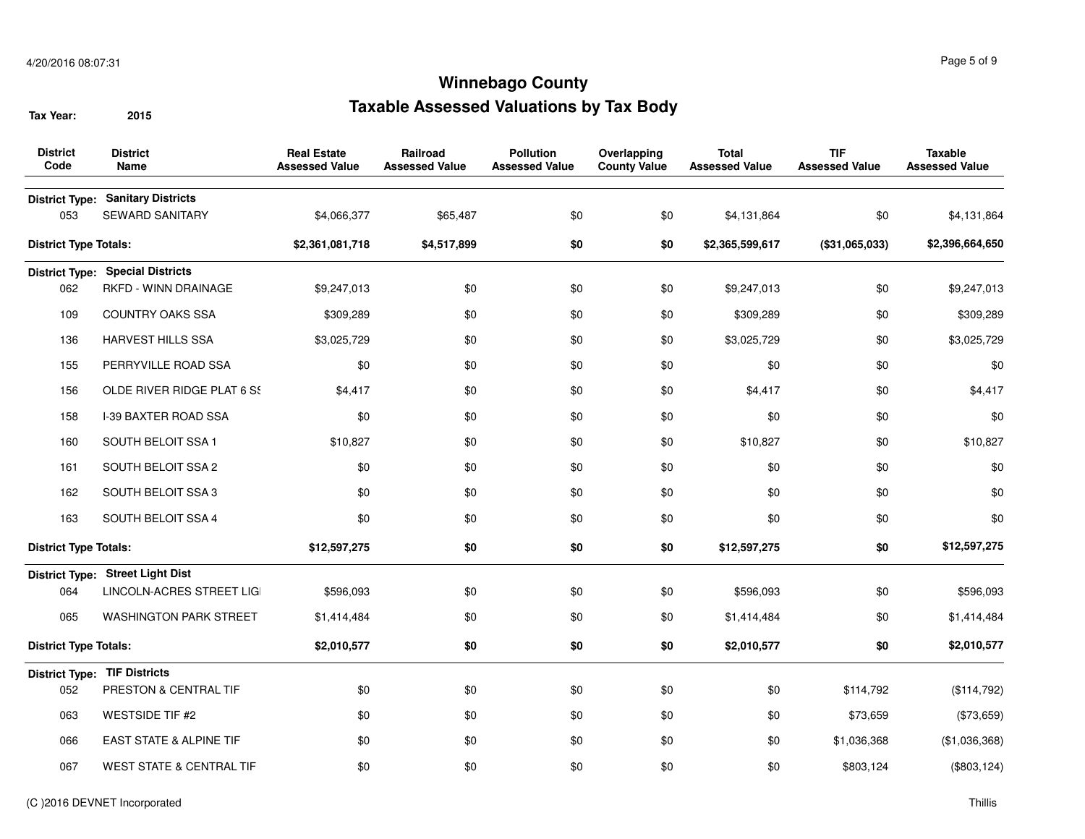| <b>District</b><br>Code      | <b>District</b><br><b>Name</b>                                     | <b>Real Estate</b><br><b>Assessed Value</b> | Railroad<br><b>Assessed Value</b> | <b>Pollution</b><br><b>Assessed Value</b> | Overlapping<br><b>County Value</b> | <b>Total</b><br><b>Assessed Value</b> | <b>TIF</b><br><b>Assessed Value</b> | <b>Taxable</b><br><b>Assessed Value</b> |
|------------------------------|--------------------------------------------------------------------|---------------------------------------------|-----------------------------------|-------------------------------------------|------------------------------------|---------------------------------------|-------------------------------------|-----------------------------------------|
| 053                          | <b>District Type: Sanitary Districts</b><br><b>SEWARD SANITARY</b> | \$4,066,377                                 | \$65,487                          | \$0                                       | \$0                                | \$4,131,864                           | \$0                                 | \$4,131,864                             |
| <b>District Type Totals:</b> |                                                                    | \$2,361,081,718                             | \$4,517,899                       | \$0                                       | \$0                                | \$2,365,599,617                       | (\$31,065,033)                      | \$2,396,664,650                         |
|                              | <b>District Type: Special Districts</b>                            |                                             |                                   |                                           |                                    |                                       |                                     |                                         |
| 062                          | RKFD - WINN DRAINAGE                                               | \$9,247,013                                 | \$0                               | \$0                                       | \$0                                | \$9,247,013                           | \$0                                 | \$9,247,013                             |
| 109                          | <b>COUNTRY OAKS SSA</b>                                            | \$309,289                                   | \$0                               | \$0                                       | \$0                                | \$309,289                             | \$0                                 | \$309,289                               |
| 136                          | <b>HARVEST HILLS SSA</b>                                           | \$3,025,729                                 | \$0                               | \$0                                       | \$0                                | \$3,025,729                           | \$0                                 | \$3,025,729                             |
| 155                          | PERRYVILLE ROAD SSA                                                | \$0                                         | \$0                               | \$0                                       | \$0                                | \$0                                   | \$0                                 | \$0                                     |
| 156                          | OLDE RIVER RIDGE PLAT 6 SS                                         | \$4,417                                     | \$0                               | \$0                                       | \$0                                | \$4,417                               | \$0                                 | \$4,417                                 |
| 158                          | I-39 BAXTER ROAD SSA                                               | \$0                                         | \$0                               | \$0                                       | \$0                                | \$0                                   | \$0                                 | \$0                                     |
| 160                          | SOUTH BELOIT SSA 1                                                 | \$10,827                                    | \$0                               | \$0                                       | \$0                                | \$10,827                              | \$0                                 | \$10,827                                |
| 161                          | SOUTH BELOIT SSA 2                                                 | \$0                                         | \$0                               | \$0                                       | \$0                                | \$0                                   | \$0                                 | \$0                                     |
| 162                          | SOUTH BELOIT SSA 3                                                 | \$0                                         | \$0                               | \$0                                       | \$0                                | \$0                                   | \$0                                 | \$0                                     |
| 163                          | SOUTH BELOIT SSA 4                                                 | \$0                                         | \$0                               | \$0                                       | \$0                                | \$0                                   | \$0                                 | \$0                                     |
| <b>District Type Totals:</b> |                                                                    | \$12,597,275                                | \$0                               | \$0                                       | \$0                                | \$12,597,275                          | \$0                                 | \$12,597,275                            |
|                              | District Type: Street Light Dist                                   |                                             |                                   |                                           |                                    |                                       |                                     |                                         |
| 064                          | LINCOLN-ACRES STREET LIG                                           | \$596,093                                   | \$0                               | \$0                                       | \$0                                | \$596,093                             | \$0                                 | \$596,093                               |
| 065                          | <b>WASHINGTON PARK STREET</b>                                      | \$1,414,484                                 | \$0                               | \$0                                       | \$0                                | \$1,414,484                           | \$0                                 | \$1,414,484                             |
| <b>District Type Totals:</b> |                                                                    | \$2,010,577                                 | \$0                               | \$0                                       | \$0                                | \$2,010,577                           | \$0                                 | \$2,010,577                             |
|                              | <b>District Type: TIF Districts</b>                                |                                             |                                   |                                           |                                    |                                       |                                     |                                         |
| 052                          | PRESTON & CENTRAL TIF                                              | \$0                                         | \$0                               | \$0                                       | \$0                                | \$0                                   | \$114,792                           | (\$114,792)                             |
| 063                          | <b>WESTSIDE TIF #2</b>                                             | \$0                                         | \$0                               | \$0                                       | \$0                                | \$0                                   | \$73,659                            | (\$73,659)                              |
| 066                          | EAST STATE & ALPINE TIF                                            | \$0                                         | \$0                               | \$0                                       | \$0                                | \$0                                   | \$1,036,368                         | (\$1,036,368)                           |
| 067                          | <b>WEST STATE &amp; CENTRAL TIF</b>                                | \$0                                         | \$0                               | \$0                                       | \$0                                | \$0                                   | \$803,124                           | (\$803, 124)                            |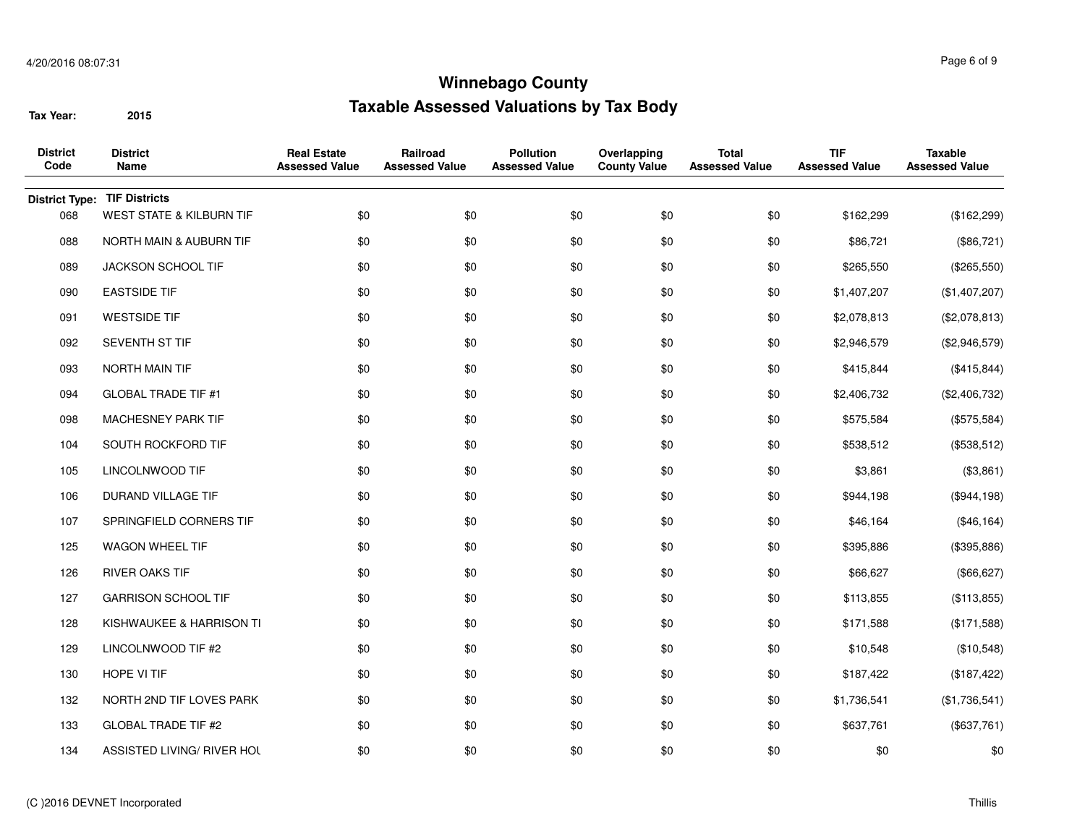| <b>District</b><br>Code | <b>District</b><br>Name             | <b>Real Estate</b><br><b>Assessed Value</b> | Railroad<br><b>Assessed Value</b> | <b>Pollution</b><br><b>Assessed Value</b> | Overlapping<br><b>County Value</b> | <b>Total</b><br><b>Assessed Value</b> | <b>TIF</b><br><b>Assessed Value</b> | <b>Taxable</b><br><b>Assessed Value</b> |
|-------------------------|-------------------------------------|---------------------------------------------|-----------------------------------|-------------------------------------------|------------------------------------|---------------------------------------|-------------------------------------|-----------------------------------------|
| <b>District Type:</b>   | <b>TIF Districts</b>                |                                             |                                   |                                           |                                    |                                       |                                     |                                         |
| 068                     | <b>WEST STATE &amp; KILBURN TIF</b> | \$0                                         | \$0                               | \$0                                       | \$0                                | \$0                                   | \$162,299                           | (\$162,299)                             |
| 088                     | NORTH MAIN & AUBURN TIF             | \$0                                         | \$0                               | \$0                                       | \$0                                | \$0                                   | \$86,721                            | (\$86,721)                              |
| 089                     | JACKSON SCHOOL TIF                  | \$0                                         | \$0                               | \$0                                       | \$0                                | \$0                                   | \$265,550                           | (\$265,550)                             |
| 090                     | <b>EASTSIDE TIF</b>                 | \$0                                         | \$0                               | \$0                                       | \$0                                | \$0                                   | \$1,407,207                         | (\$1,407,207)                           |
| 091                     | <b>WESTSIDE TIF</b>                 | \$0                                         | \$0                               | \$0                                       | \$0                                | \$0                                   | \$2,078,813                         | (\$2,078,813)                           |
| 092                     | SEVENTH ST TIF                      | \$0                                         | \$0                               | \$0                                       | \$0                                | \$0                                   | \$2,946,579                         | (\$2,946,579)                           |
| 093                     | NORTH MAIN TIF                      | \$0                                         | \$0                               | \$0                                       | \$0                                | \$0                                   | \$415,844                           | (\$415,844)                             |
| 094                     | <b>GLOBAL TRADE TIF #1</b>          | \$0                                         | \$0                               | \$0                                       | \$0                                | \$0                                   | \$2,406,732                         | (\$2,406,732)                           |
| 098                     | MACHESNEY PARK TIF                  | \$0                                         | \$0                               | \$0                                       | \$0                                | \$0                                   | \$575,584                           | (\$575,584)                             |
| 104                     | SOUTH ROCKFORD TIF                  | \$0                                         | \$0                               | \$0                                       | \$0                                | \$0                                   | \$538,512                           | (\$538,512)                             |
| 105                     | LINCOLNWOOD TIF                     | \$0                                         | \$0                               | \$0                                       | \$0                                | \$0                                   | \$3,861                             | (\$3,861)                               |
| 106                     | DURAND VILLAGE TIF                  | \$0                                         | \$0                               | \$0                                       | \$0                                | \$0                                   | \$944,198                           | (\$944,198)                             |
| 107                     | SPRINGFIELD CORNERS TIF             | \$0                                         | \$0                               | \$0                                       | \$0                                | \$0                                   | \$46,164                            | (\$46,164)                              |
| 125                     | WAGON WHEEL TIF                     | \$0                                         | \$0                               | \$0                                       | \$0                                | \$0                                   | \$395,886                           | (\$395,886)                             |
| 126                     | <b>RIVER OAKS TIF</b>               | \$0                                         | \$0                               | \$0                                       | \$0                                | \$0                                   | \$66,627                            | (\$66, 627)                             |
| 127                     | <b>GARRISON SCHOOL TIF</b>          | \$0                                         | \$0                               | \$0                                       | \$0                                | \$0                                   | \$113,855                           | (\$113,855)                             |
| 128                     | KISHWAUKEE & HARRISON TI            | \$0                                         | \$0                               | \$0                                       | \$0                                | \$0                                   | \$171,588                           | (\$171,588)                             |
| 129                     | LINCOLNWOOD TIF #2                  | \$0                                         | \$0                               | \$0                                       | \$0                                | \$0                                   | \$10,548                            | (\$10,548)                              |
| 130                     | HOPE VI TIF                         | \$0                                         | \$0                               | \$0                                       | \$0                                | \$0                                   | \$187,422                           | (\$187, 422)                            |
| 132                     | NORTH 2ND TIF LOVES PARK            | \$0                                         | \$0                               | \$0                                       | \$0                                | \$0                                   | \$1,736,541                         | (\$1,736,541)                           |
| 133                     | <b>GLOBAL TRADE TIF #2</b>          | \$0                                         | \$0                               | \$0                                       | \$0                                | \$0                                   | \$637,761                           | (\$637,761)                             |
| 134                     | ASSISTED LIVING/ RIVER HOL          | \$0                                         | \$0                               | \$0                                       | \$0                                | \$0                                   | \$0                                 | \$0                                     |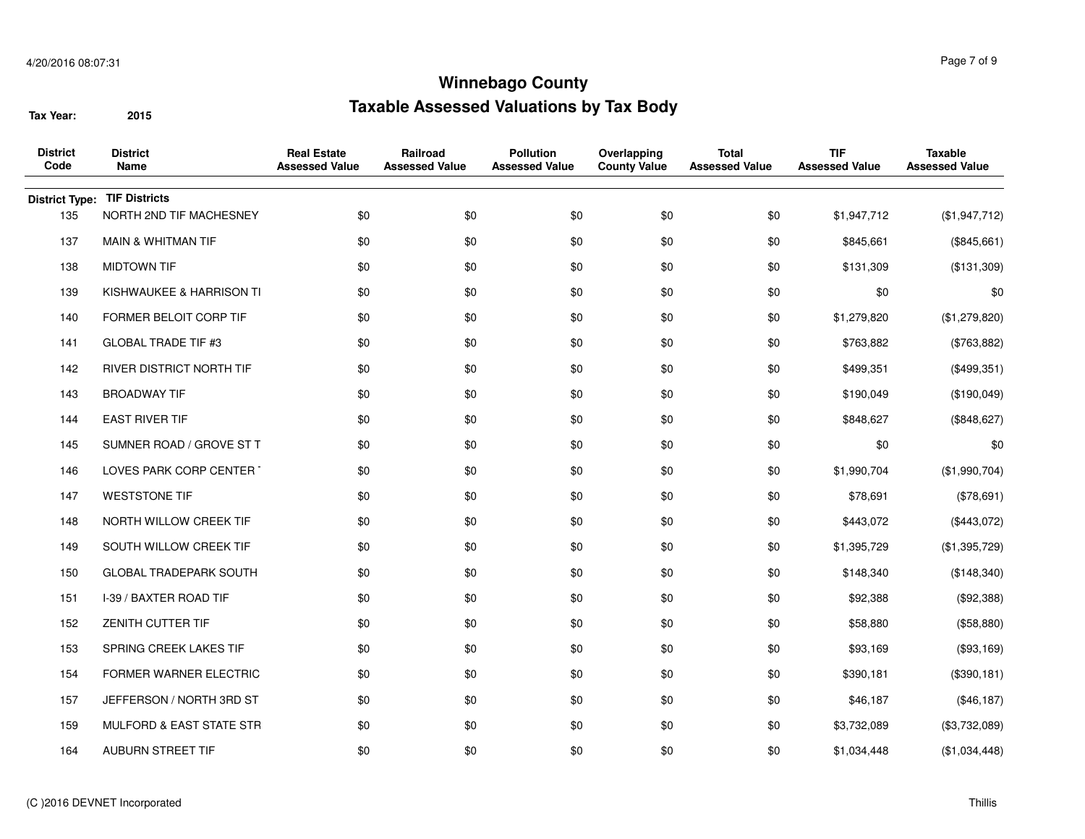| <b>District</b><br>Code | <b>District</b><br>Name         | <b>Real Estate</b><br><b>Assessed Value</b> | Railroad<br><b>Assessed Value</b> | <b>Pollution</b><br><b>Assessed Value</b> | Overlapping<br><b>County Value</b> | <b>Total</b><br><b>Assessed Value</b> | <b>TIF</b><br><b>Assessed Value</b> | <b>Taxable</b><br><b>Assessed Value</b> |
|-------------------------|---------------------------------|---------------------------------------------|-----------------------------------|-------------------------------------------|------------------------------------|---------------------------------------|-------------------------------------|-----------------------------------------|
| <b>District Type:</b>   | <b>TIF Districts</b>            |                                             |                                   |                                           |                                    |                                       |                                     |                                         |
| 135                     | NORTH 2ND TIF MACHESNEY         | \$0                                         | \$0                               | \$0                                       | \$0                                | \$0                                   | \$1,947,712                         | (\$1,947,712)                           |
| 137                     | <b>MAIN &amp; WHITMAN TIF</b>   | \$0                                         | \$0                               | \$0                                       | \$0                                | \$0                                   | \$845,661                           | (\$845,661)                             |
| 138                     | <b>MIDTOWN TIF</b>              | \$0                                         | \$0                               | \$0                                       | \$0                                | \$0                                   | \$131,309                           | (\$131,309)                             |
| 139                     | KISHWAUKEE & HARRISON TI        | \$0                                         | \$0                               | \$0                                       | \$0                                | \$0                                   | \$0                                 | \$0                                     |
| 140                     | FORMER BELOIT CORP TIF          | \$0                                         | \$0                               | \$0                                       | \$0                                | \$0                                   | \$1,279,820                         | (\$1,279,820)                           |
| 141                     | <b>GLOBAL TRADE TIF #3</b>      | \$0                                         | \$0                               | \$0                                       | \$0                                | \$0                                   | \$763,882                           | (\$763,882)                             |
| 142                     | <b>RIVER DISTRICT NORTH TIF</b> | \$0                                         | \$0                               | \$0                                       | \$0                                | \$0                                   | \$499,351                           | (\$499,351)                             |
| 143                     | <b>BROADWAY TIF</b>             | \$0                                         | \$0                               | \$0                                       | \$0                                | \$0                                   | \$190,049                           | (\$190,049)                             |
| 144                     | <b>EAST RIVER TIF</b>           | \$0                                         | \$0                               | \$0                                       | \$0                                | \$0                                   | \$848,627                           | (\$848,627)                             |
| 145                     | SUMNER ROAD / GROVE ST T        | \$0                                         | \$0                               | \$0                                       | \$0                                | \$0                                   | \$0                                 | \$0                                     |
| 146                     | LOVES PARK CORP CENTER          | \$0                                         | \$0                               | \$0                                       | \$0                                | \$0                                   | \$1,990,704                         | (\$1,990,704)                           |
| 147                     | <b>WESTSTONE TIF</b>            | \$0                                         | \$0                               | \$0                                       | \$0                                | \$0                                   | \$78,691                            | (\$78,691)                              |
| 148                     | NORTH WILLOW CREEK TIF          | \$0                                         | \$0                               | \$0                                       | \$0                                | \$0                                   | \$443,072                           | (\$443,072)                             |
| 149                     | SOUTH WILLOW CREEK TIF          | \$0                                         | \$0                               | \$0                                       | \$0                                | \$0                                   | \$1,395,729                         | (\$1,395,729)                           |
| 150                     | <b>GLOBAL TRADEPARK SOUTH</b>   | \$0                                         | \$0                               | \$0                                       | \$0                                | \$0                                   | \$148,340                           | (\$148,340)                             |
| 151                     | I-39 / BAXTER ROAD TIF          | \$0                                         | \$0                               | \$0                                       | \$0                                | \$0                                   | \$92,388                            | (\$92,388)                              |
| 152                     | ZENITH CUTTER TIF               | \$0                                         | \$0                               | \$0                                       | \$0                                | \$0                                   | \$58,880                            | (\$58,880)                              |
| 153                     | SPRING CREEK LAKES TIF          | \$0                                         | \$0                               | \$0                                       | \$0                                | \$0                                   | \$93,169                            | (\$93,169)                              |
| 154                     | FORMER WARNER ELECTRIC          | \$0                                         | \$0                               | \$0                                       | \$0                                | \$0                                   | \$390,181                           | (\$390, 181)                            |
| 157                     | JEFFERSON / NORTH 3RD ST        | \$0                                         | \$0                               | \$0                                       | \$0                                | \$0                                   | \$46,187                            | (\$46,187)                              |
| 159                     | MULFORD & EAST STATE STR        | \$0                                         | \$0                               | \$0                                       | \$0                                | \$0                                   | \$3,732,089                         | (\$3,732,089)                           |
| 164                     | AUBURN STREET TIF               | \$0                                         | \$0                               | \$0                                       | \$0                                | \$0                                   | \$1,034,448                         | (\$1,034,448)                           |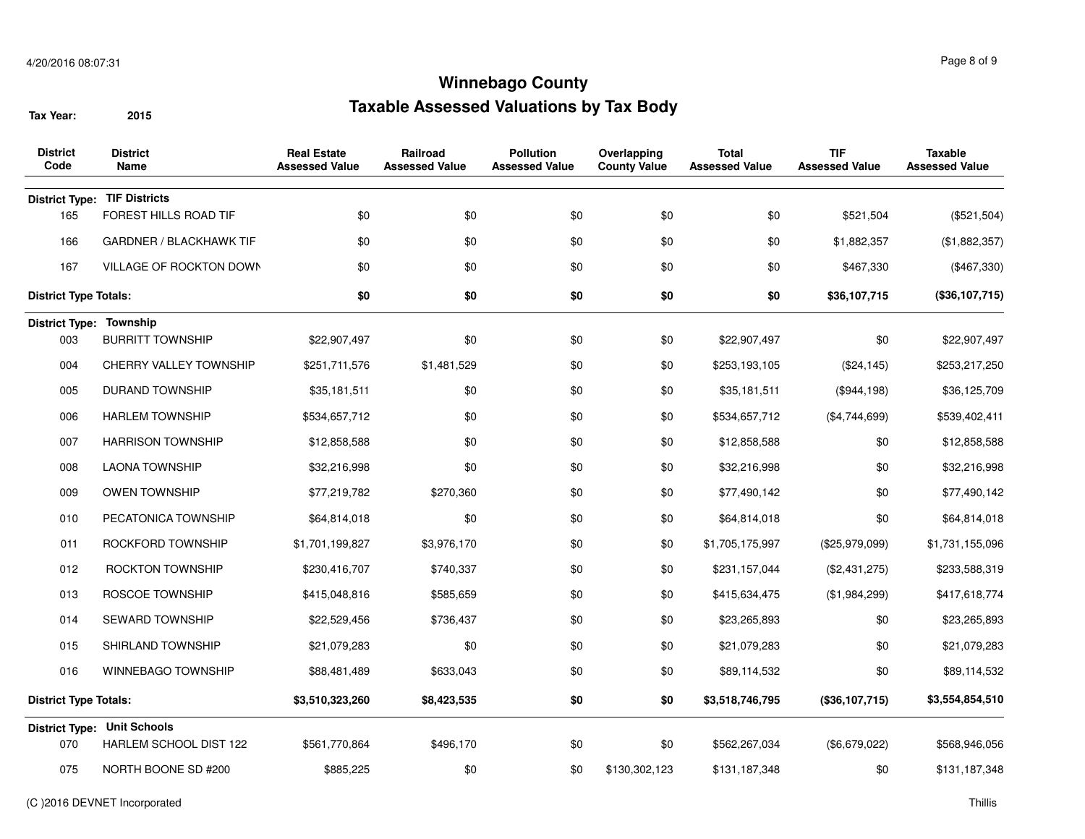| <b>District</b><br>Code      | <b>District</b><br>Name            | <b>Real Estate</b><br>Assessed Value | Railroad<br><b>Assessed Value</b> | <b>Pollution</b><br><b>Assessed Value</b> | Overlapping<br><b>County Value</b> | <b>Total</b><br><b>Assessed Value</b> | <b>TIF</b><br><b>Assessed Value</b> | Taxable<br><b>Assessed Value</b> |
|------------------------------|------------------------------------|--------------------------------------|-----------------------------------|-------------------------------------------|------------------------------------|---------------------------------------|-------------------------------------|----------------------------------|
| <b>District Type:</b>        | <b>TIF Districts</b>               |                                      |                                   |                                           |                                    |                                       |                                     |                                  |
| 165                          | FOREST HILLS ROAD TIF              | \$0                                  | \$0                               | \$0                                       | \$0                                | \$0                                   | \$521,504                           | (\$521,504)                      |
| 166                          | <b>GARDNER / BLACKHAWK TIF</b>     | \$0                                  | \$0                               | \$0                                       | \$0                                | \$0                                   | \$1,882,357                         | (\$1,882,357)                    |
| 167                          | VILLAGE OF ROCKTON DOWN            | \$0                                  | \$0                               | \$0                                       | \$0                                | \$0                                   | \$467,330                           | (\$467,330)                      |
| <b>District Type Totals:</b> |                                    | \$0                                  | \$0                               | \$0                                       | \$0                                | \$0                                   | \$36,107,715                        | (\$36,107,715)                   |
| District Type: Township      |                                    |                                      |                                   |                                           |                                    |                                       |                                     |                                  |
| 003                          | <b>BURRITT TOWNSHIP</b>            | \$22,907,497                         | \$0                               | \$0                                       | \$0                                | \$22,907,497                          | \$0                                 | \$22,907,497                     |
| 004                          | CHERRY VALLEY TOWNSHIP             | \$251,711,576                        | \$1,481,529                       | \$0                                       | \$0                                | \$253,193,105                         | (\$24, 145)                         | \$253,217,250                    |
| 005                          | <b>DURAND TOWNSHIP</b>             | \$35,181,511                         | \$0                               | \$0                                       | \$0                                | \$35,181,511                          | (\$944,198)                         | \$36,125,709                     |
| 006                          | <b>HARLEM TOWNSHIP</b>             | \$534,657,712                        | \$0                               | \$0                                       | \$0                                | \$534,657,712                         | (\$4,744,699)                       | \$539,402,411                    |
| 007                          | <b>HARRISON TOWNSHIP</b>           | \$12,858,588                         | \$0                               | \$0                                       | \$0                                | \$12,858,588                          | \$0                                 | \$12,858,588                     |
| 008                          | <b>LAONA TOWNSHIP</b>              | \$32,216,998                         | \$0                               | \$0                                       | \$0                                | \$32,216,998                          | \$0                                 | \$32,216,998                     |
| 009                          | <b>OWEN TOWNSHIP</b>               | \$77,219,782                         | \$270,360                         | \$0                                       | \$0                                | \$77,490,142                          | \$0                                 | \$77,490,142                     |
| 010                          | PECATONICA TOWNSHIP                | \$64,814,018                         | \$0                               | \$0                                       | \$0                                | \$64,814,018                          | \$0                                 | \$64,814,018                     |
| 011                          | ROCKFORD TOWNSHIP                  | \$1,701,199,827                      | \$3,976,170                       | \$0                                       | \$0                                | \$1,705,175,997                       | (\$25,979,099)                      | \$1,731,155,096                  |
| 012                          | ROCKTON TOWNSHIP                   | \$230,416,707                        | \$740,337                         | \$0                                       | \$0                                | \$231,157,044                         | (\$2,431,275)                       | \$233,588,319                    |
| 013                          | ROSCOE TOWNSHIP                    | \$415,048,816                        | \$585,659                         | \$0                                       | \$0                                | \$415,634,475                         | (\$1,984,299)                       | \$417,618,774                    |
| 014                          | <b>SEWARD TOWNSHIP</b>             | \$22,529,456                         | \$736,437                         | \$0                                       | \$0                                | \$23,265,893                          | \$0                                 | \$23,265,893                     |
| 015                          | SHIRLAND TOWNSHIP                  | \$21,079,283                         | \$0                               | \$0                                       | \$0                                | \$21,079,283                          | \$0                                 | \$21,079,283                     |
| 016                          | <b>WINNEBAGO TOWNSHIP</b>          | \$88,481,489                         | \$633,043                         | \$0                                       | \$0                                | \$89,114,532                          | \$0                                 | \$89,114,532                     |
| <b>District Type Totals:</b> |                                    | \$3,510,323,260                      | \$8,423,535                       | \$0                                       | \$0                                | \$3,518,746,795                       | (\$36,107,715)                      | \$3,554,854,510                  |
|                              | <b>District Type: Unit Schools</b> |                                      |                                   |                                           |                                    |                                       |                                     |                                  |
| 070                          | HARLEM SCHOOL DIST 122             | \$561,770,864                        | \$496,170                         | \$0                                       | \$0                                | \$562,267,034                         | (\$6,679,022)                       | \$568,946,056                    |
| 075                          | NORTH BOONE SD #200                | \$885,225                            | \$0                               | \$0                                       | \$130,302,123                      | \$131,187,348                         | \$0                                 | \$131,187,348                    |